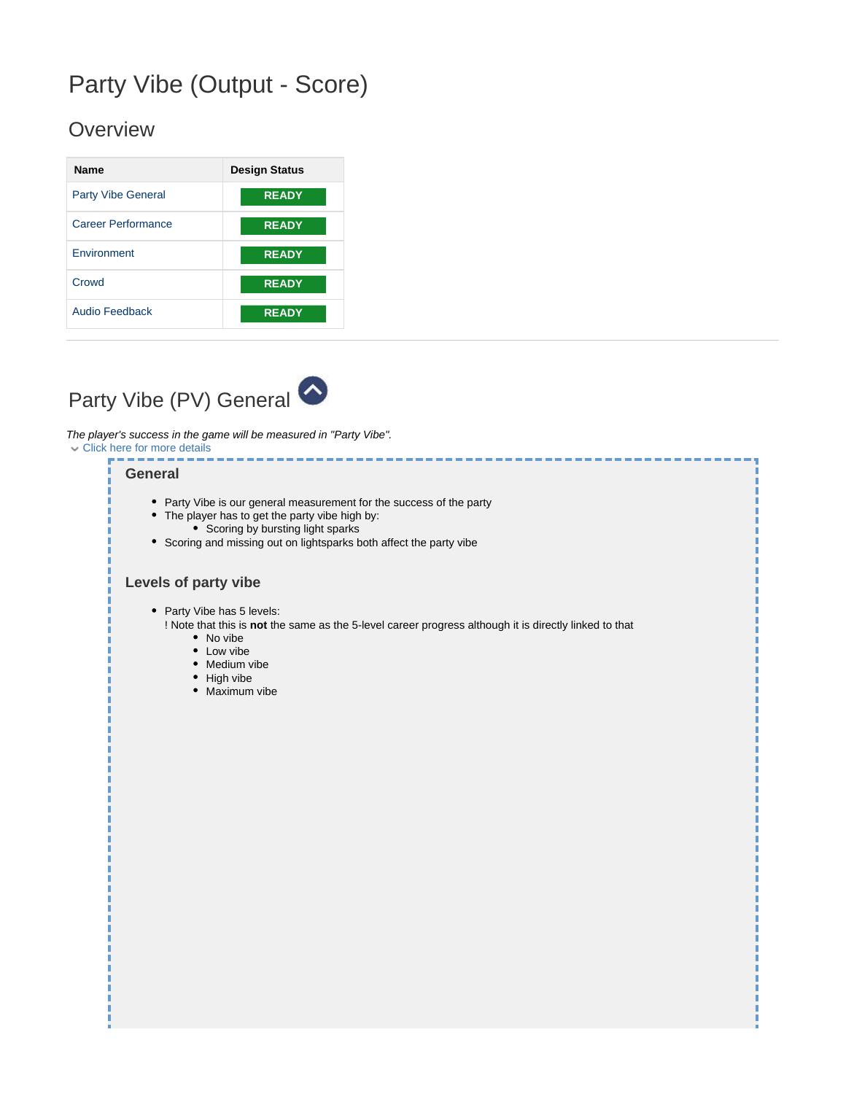# Party Vibe (Output - Score)

## **Overview**

| <b>Name</b>               | <b>Design Status</b> |
|---------------------------|----------------------|
| <b>Party Vibe General</b> | <b>READY</b>         |
| Career Performance        | <b>READY</b>         |
| <b>Environment</b>        | <b>READY</b>         |
| Crowd                     | <b>READY</b>         |
| <b>Audio Feedback</b>     | <b>READY</b>         |

<span id="page-0-0"></span>

The player's success in the game will be measured in "Party Vibe". Click here for more details

#### **General**

- Party Vibe is our general measurement for the success of the party
- The player has to get the party vibe high by:
- Scoring by bursting light sparks
- Scoring and missing out on lightsparks both affect the party vibe

### **Levels of party vibe**

• Party Vibe has 5 levels:

! Note that this is **not** the same as the 5-level career progress although it is directly linked to that

- No vibe
- Low vibe
- Medium vibe
- High vibe
- Maximum vibe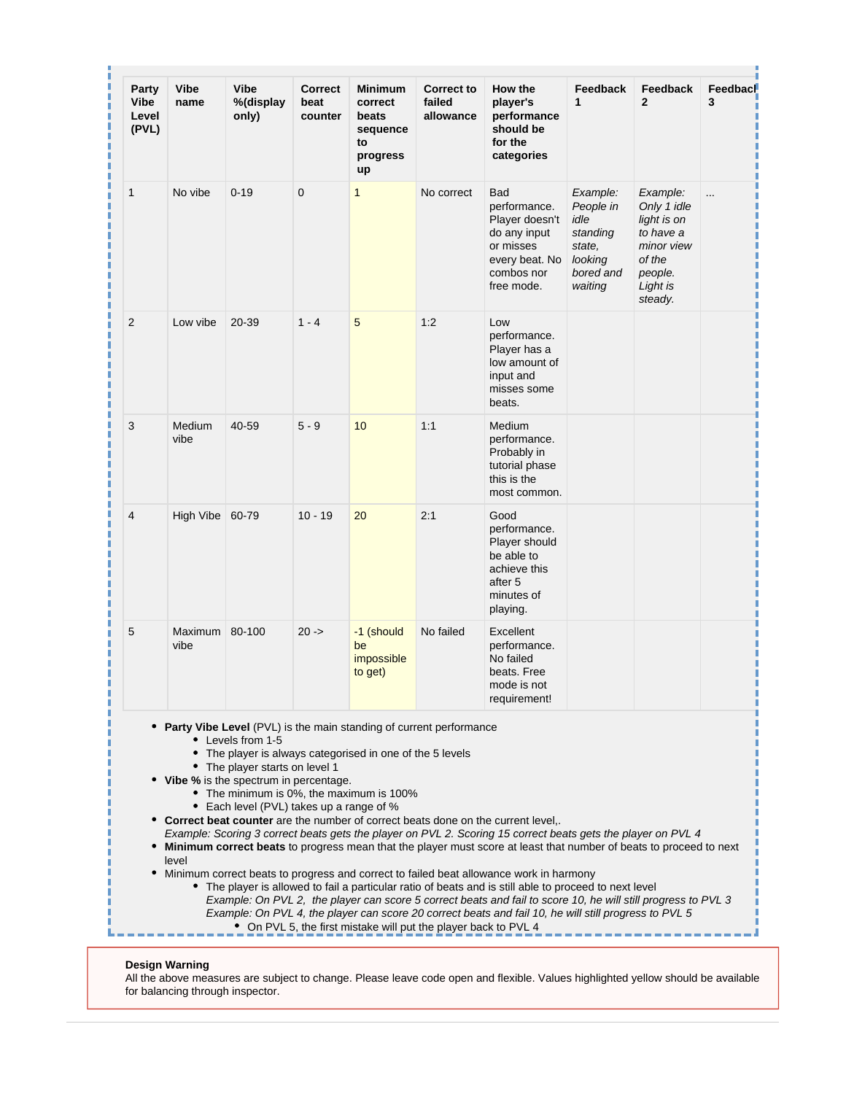| Party<br>Vibe<br>Level<br>(PVL) | <b>Vibe</b><br>name | <b>Vibe</b><br>%(display<br>only)                                                                                                        | <b>Correct</b><br>beat<br>counter | Minimum<br>correct<br>beats<br>sequence<br>to<br>progress<br>up                                     | <b>Correct to</b><br>failed<br>allowance                             | How the<br>player's<br>performance<br>should be<br>for the<br>categories                                                                                                                                                                                                                                                                                                                                                                                                                                                                                                                                                                                                                                                                               | Feedback<br>$\mathbf 1$                                                                | Feedback<br>$\mathbf{2}$                                                                                      | Feedbacl<br>3 |
|---------------------------------|---------------------|------------------------------------------------------------------------------------------------------------------------------------------|-----------------------------------|-----------------------------------------------------------------------------------------------------|----------------------------------------------------------------------|--------------------------------------------------------------------------------------------------------------------------------------------------------------------------------------------------------------------------------------------------------------------------------------------------------------------------------------------------------------------------------------------------------------------------------------------------------------------------------------------------------------------------------------------------------------------------------------------------------------------------------------------------------------------------------------------------------------------------------------------------------|----------------------------------------------------------------------------------------|---------------------------------------------------------------------------------------------------------------|---------------|
| $\mathbf{1}$                    | No vibe             | $0 - 19$                                                                                                                                 | 0                                 | $\mathbf{1}$                                                                                        | No correct                                                           | <b>Bad</b><br>performance.<br>Player doesn't<br>do any input<br>or misses<br>every beat. No<br>combos nor<br>free mode.                                                                                                                                                                                                                                                                                                                                                                                                                                                                                                                                                                                                                                | Example:<br>People in<br>idle<br>standing<br>state.<br>looking<br>bored and<br>waiting | Example:<br>Only 1 idle<br>light is on<br>to have a<br>minor view<br>of the<br>people.<br>Light is<br>steady. | $\cdots$      |
| 2                               | Low vibe            | 20-39                                                                                                                                    | $1 - 4$                           | 5                                                                                                   | 1:2                                                                  | Low<br>performance.<br>Player has a<br>low amount of<br>input and<br>misses some<br>beats.                                                                                                                                                                                                                                                                                                                                                                                                                                                                                                                                                                                                                                                             |                                                                                        |                                                                                                               |               |
| 3                               | Medium<br>vibe      | 40-59                                                                                                                                    | $5 - 9$                           | 10                                                                                                  | 1:1                                                                  | Medium<br>performance.<br>Probably in<br>tutorial phase<br>this is the<br>most common.                                                                                                                                                                                                                                                                                                                                                                                                                                                                                                                                                                                                                                                                 |                                                                                        |                                                                                                               |               |
| 4                               | High Vibe 60-79     |                                                                                                                                          | $10 - 19$                         | 20                                                                                                  | 2:1                                                                  | Good<br>performance.<br>Player should<br>be able to<br>achieve this<br>after 5<br>minutes of<br>playing.                                                                                                                                                                                                                                                                                                                                                                                                                                                                                                                                                                                                                                               |                                                                                        |                                                                                                               |               |
| 5                               | Maximum<br>vibe     | 80-100                                                                                                                                   | $20 -$                            | -1 (should<br>be<br>impossible<br>to get)                                                           | No failed                                                            | Excellent<br>performance.<br>No failed<br>beats. Free<br>mode is not<br>requirement!                                                                                                                                                                                                                                                                                                                                                                                                                                                                                                                                                                                                                                                                   |                                                                                        |                                                                                                               |               |
| ٠<br>٠                          | level               | • Levels from 1-5<br>• The player starts on level 1<br>• Vibe % is the spectrum in percentage.<br>Each level (PVL) takes up a range of % |                                   | The player is always categorised in one of the 5 levels<br>• The minimum is 0%, the maximum is 100% | • Party Vibe Level (PVL) is the main standing of current performance | • Correct beat counter are the number of correct beats done on the current level,.<br>Example: Scoring 3 correct beats gets the player on PVL 2. Scoring 15 correct beats gets the player on PVL 4<br>Minimum correct beats to progress mean that the player must score at least that number of beats to proceed to next<br>Minimum correct beats to progress and correct to failed beat allowance work in harmony<br>• The player is allowed to fail a particular ratio of beats and is still able to proceed to next level<br>Example: On PVL 2, the player can score 5 correct beats and fail to score 10, he will still progress to PVL 3<br>Example: On PVL 4, the player can score 20 correct beats and fail 10, he will still progress to PVL 5 |                                                                                        |                                                                                                               |               |

#### **Design Warning**

All the above measures are subject to change. Please leave code open and flexible. Values highlighted yellow should be available for balancing through inspector.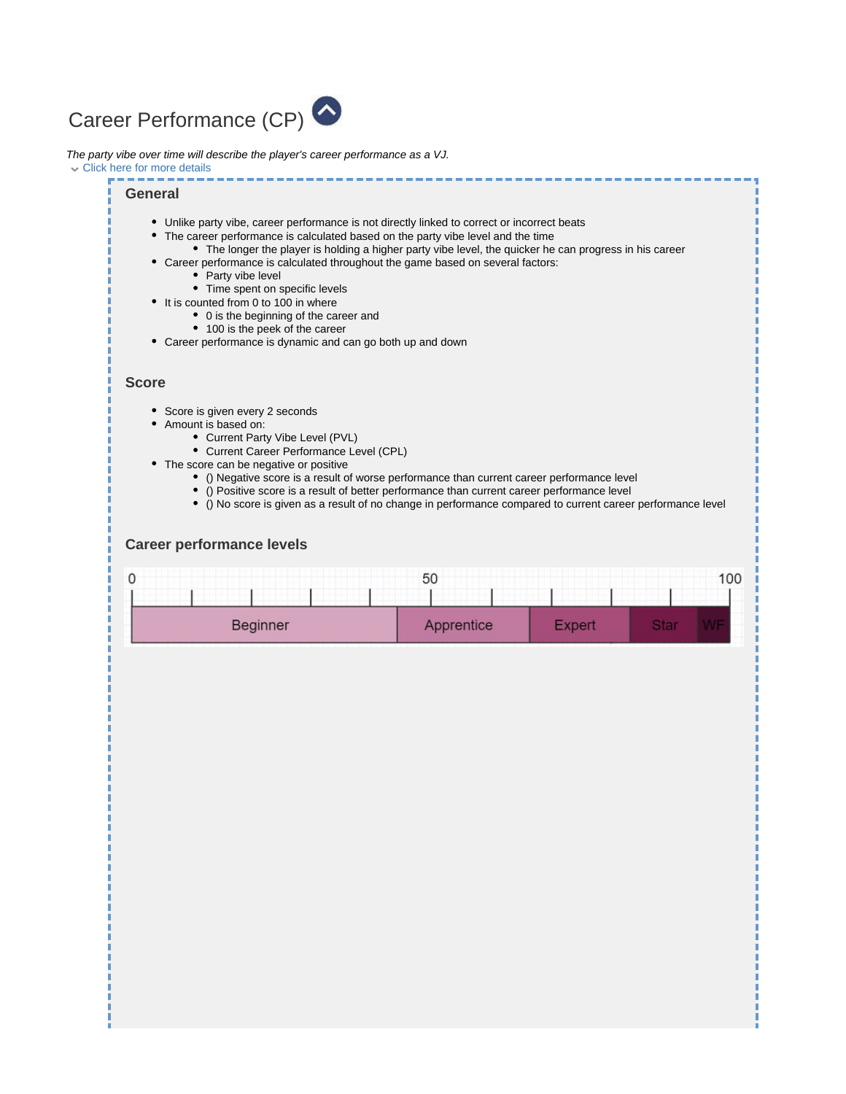<span id="page-2-0"></span>

The party vibe over time will describe the player's career performance as a VJ.

Click here for more details

#### **General**

- Unlike party vibe, career performance is not directly linked to correct or incorrect beats
- The career performance is calculated based on the party vibe level and the time
- The longer the player is holding a higher party vibe level, the quicker he can progress in his career
- Career performance is calculated throughout the game based on several factors:
	- Party vibe level
	- Time spent on specific levels
- It is counted from 0 to 100 in where
	- 0 is the beginning of the career and
		- 100 is the peek of the career
- Career performance is dynamic and can go both up and down

#### **Score**

- Score is given every 2 seconds
- Amount is based on:
	- Current Party Vibe Level (PVL)
	- Current Career Performance Level (CPL)
- The score can be negative or positive
	- () Negative score is a result of worse performance than current career performance level
	- () Positive score is a result of better performance than current career performance level
	- () No score is given as a result of no change in performance compared to current career performance level

#### **Career performance levels**

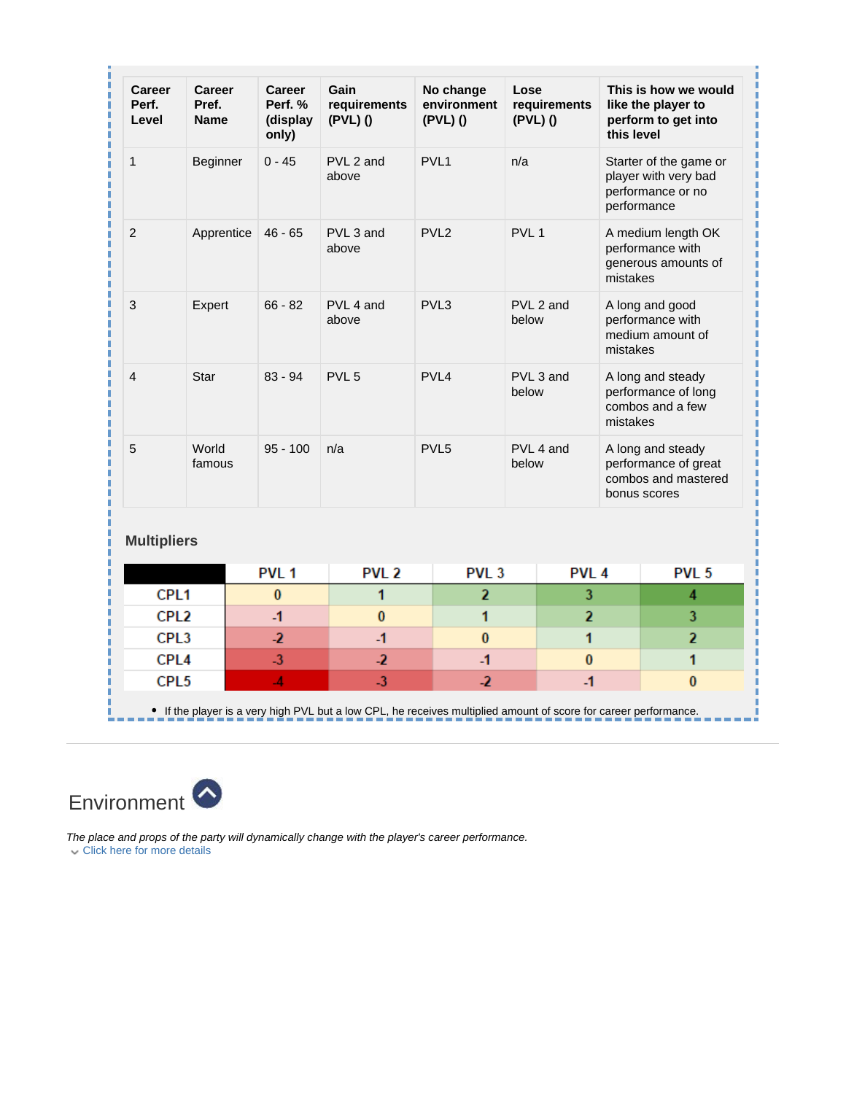| Career<br>Perf.<br>Level             | Career<br>Pref.<br><b>Name</b> | Career<br>Perf. %<br>(display<br>only) | Gain<br>requirements<br>(PVL)() | No change<br>environment<br>(PVL)() | Lose<br>requirements<br>(PVL)() | this level  | This is how we would<br>like the player to<br>perform to get into                |
|--------------------------------------|--------------------------------|----------------------------------------|---------------------------------|-------------------------------------|---------------------------------|-------------|----------------------------------------------------------------------------------|
| $\mathbf{1}$                         | Beginner                       | $0 - 45$                               | PVL 2 and<br>above              | PVL <sub>1</sub>                    | n/a                             | performance | Starter of the game or<br>player with very bad<br>performance or no              |
| 2                                    | $46 - 65$<br>Apprentice        |                                        | PVL 3 and<br>above              | PVL <sub>2</sub>                    | PVL <sub>1</sub>                | mistakes    | A medium length OK<br>performance with<br>generous amounts of                    |
| 3                                    | Expert                         | $66 - 82$                              | PVL 4 and<br>above              | PVL3                                | PVL 2 and<br>below              | mistakes    | A long and good<br>performance with<br>medium amount of                          |
| 4                                    | Star                           | $83 - 94$                              | PVL <sub>5</sub>                | PVL <sub>4</sub>                    | PVL 3 and<br>below              | mistakes    | A long and steady<br>performance of long<br>combos and a few                     |
| 5                                    | World<br>famous                | $95 - 100$                             | n/a                             | PVL <sub>5</sub>                    | PVL 4 and<br>below              |             | A long and steady<br>performance of great<br>combos and mastered<br>bonus scores |
| <b>Multipliers</b>                   |                                |                                        |                                 |                                     |                                 |             |                                                                                  |
|                                      |                                | PVL <sub>1</sub>                       | PVL <sub>2</sub>                | PVL <sub>3</sub>                    | PVL <sub>4</sub>                |             | PVL <sub>5</sub>                                                                 |
| CPL <sub>1</sub>                     |                                | $\bf{0}$                               | 1                               | $\overline{2}$                      | 3                               |             | 4                                                                                |
| CPL <sub>2</sub>                     |                                | $\mathbf{-1}$                          | $\bf{0}$                        | 1                                   | $\overline{2}$                  |             | 3                                                                                |
| CPL3                                 |                                | -2                                     | $-1$                            | $\bf{0}$                            | 1                               |             | $\overline{2}$                                                                   |
| CPL <sub>4</sub><br>CPL <sub>5</sub> |                                | $\overline{3}$<br>$\overline{A}$       | $\overline{2}$<br>$-3$          | $-1$<br>$\overline{2}$              | $\bf{0}$<br>$-1$                |             | 1<br>$\bf{0}$                                                                    |
|                                      |                                |                                        |                                 |                                     |                                 |             |                                                                                  |

<span id="page-3-0"></span>

The place and props of the party will dynamically change with the player's career performance. Click here for more details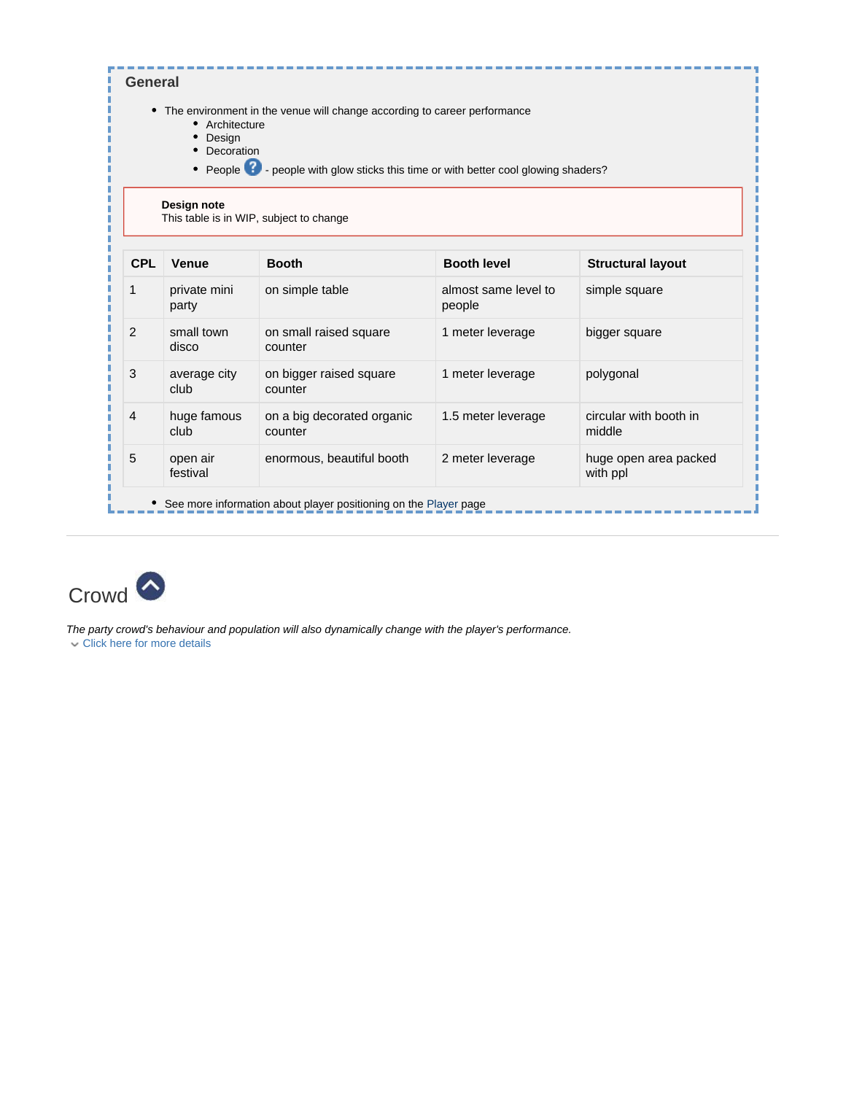|            | Architecture<br>Design<br>Decoration | • The environment in the venue will change according to career performance<br>• People <sup>2</sup> - people with glow sticks this time or with better cool glowing shaders? |                                |                                   |
|------------|--------------------------------------|------------------------------------------------------------------------------------------------------------------------------------------------------------------------------|--------------------------------|-----------------------------------|
|            | Design note                          | This table is in WIP, subject to change                                                                                                                                      |                                |                                   |
| <b>CPL</b> | Venue                                | <b>Booth</b>                                                                                                                                                                 | <b>Booth level</b>             | <b>Structural layout</b>          |
| 1          | private mini<br>party                | on simple table                                                                                                                                                              | almost same level to<br>people | simple square                     |
| 2          | small town<br>disco                  | on small raised square<br>counter                                                                                                                                            | 1 meter leverage               | bigger square                     |
| 3          | average city<br>club                 | on bigger raised square<br>counter                                                                                                                                           | 1 meter leverage               | polygonal                         |
| 4          | huge famous<br>club                  | on a big decorated organic<br>counter                                                                                                                                        | 1.5 meter leverage             | circular with booth in<br>middle  |
| 5          | open air<br>festival                 | enormous, beautiful booth                                                                                                                                                    | 2 meter leverage               | huge open area packed<br>with ppl |

<span id="page-4-0"></span>

The party crowd's behaviour and population will also dynamically change with the player's performance. Click here for more details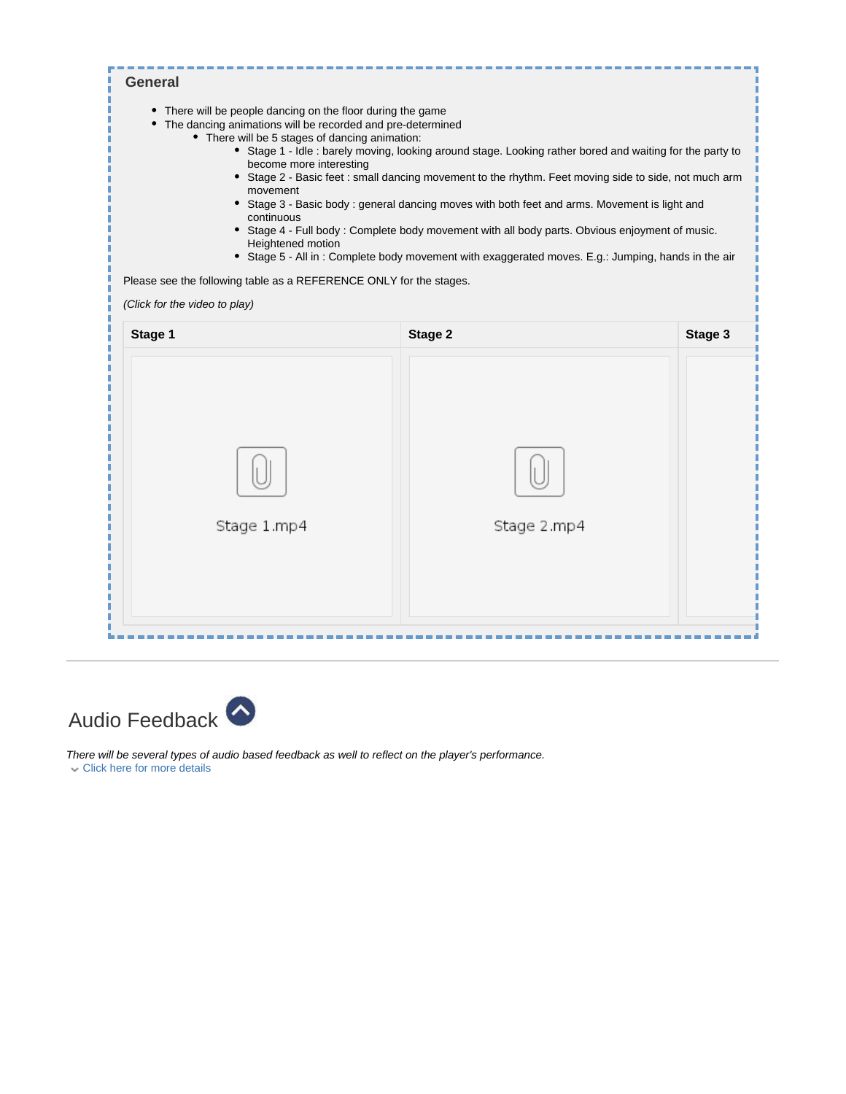| • There will be people dancing on the floor during the game<br>The dancing animations will be recorded and pre-determined<br>• There will be 5 stages of dancing animation:<br>become more interesting<br>movement<br>continuous<br>Heightened motion<br>Please see the following table as a REFERENCE ONLY for the stages.<br>(Click for the video to play) | • Stage 1 - Idle : barely moving, looking around stage. Looking rather bored and waiting for the party to<br>• Stage 2 - Basic feet : small dancing movement to the rhythm. Feet moving side to side, not much arm<br>• Stage 3 - Basic body: general dancing moves with both feet and arms. Movement is light and<br>• Stage 4 - Full body: Complete body movement with all body parts. Obvious enjoyment of music.<br>• Stage 5 - All in: Complete body movement with exaggerated moves. E.g.: Jumping, hands in the air |         |
|--------------------------------------------------------------------------------------------------------------------------------------------------------------------------------------------------------------------------------------------------------------------------------------------------------------------------------------------------------------|----------------------------------------------------------------------------------------------------------------------------------------------------------------------------------------------------------------------------------------------------------------------------------------------------------------------------------------------------------------------------------------------------------------------------------------------------------------------------------------------------------------------------|---------|
| Stage 1                                                                                                                                                                                                                                                                                                                                                      | Stage 2                                                                                                                                                                                                                                                                                                                                                                                                                                                                                                                    | Stage 3 |
| Stage 1.mp4                                                                                                                                                                                                                                                                                                                                                  | Stage 2.mp4                                                                                                                                                                                                                                                                                                                                                                                                                                                                                                                |         |
|                                                                                                                                                                                                                                                                                                                                                              |                                                                                                                                                                                                                                                                                                                                                                                                                                                                                                                            |         |

<span id="page-5-0"></span>

There will be several types of audio based feedback as well to reflect on the player's performance. Click here for more details